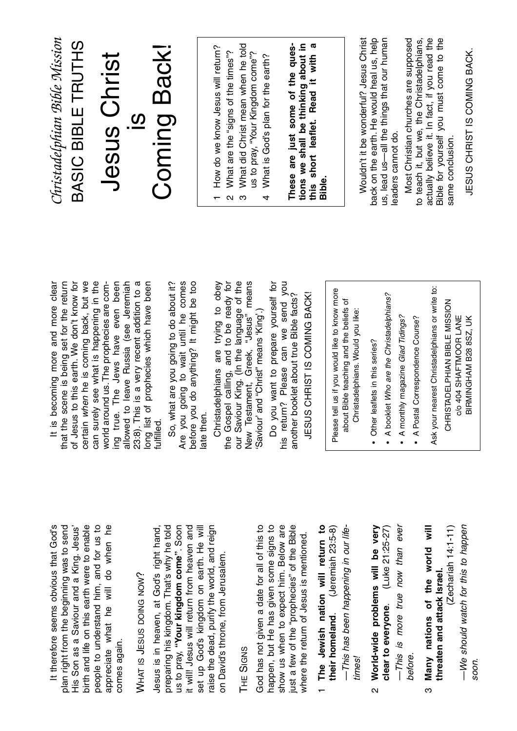birth and life on this earth were to enable people to understand him, and for us to It therefore seems obvious that God's plan right from the beginning was to send His Son as a Saviour and a King. Jesus' appreciate what he will do when he It therefore seems obvious that God's plan right from the beginning was to send His Son as a Saviour and a King. Jesus' birth and life on this earth were to enable people to understand him, and for us to appreciate what he will do when he comes again. comes again.

## WHAT IS JESUS DOING NOW Ċ٠

preparing his kingdom. That's why he told us to pray, "Your kingdom come". Soon it will! Jesus will return from heaven and raise the dead, purify the world, and reign preparing his kingdom. That's why he told us to pray, **"Your kingdom come"**. Soon it will! Jesus will return from heaven and set up God's kingdom on earth. He will set up God's kingdom on earth. He will raise the dead, purify the world, and reign Jesus is in heaven, at God's right hand Jesus is in heaven, at God's right hand, on David's throne, from Jerusalem. on David's throne, from Jerusalem.

## 出<br>二 SIGNS

God has not given a date for all of this to happen, but He has given some signs to show us when to expect him. Below are ust a few of the "prophecies" of the Bible God has not given a date for all of this to happen, but He has given some signs to show us when to expect him. Below are just a few of the "prophecies" of the Bible where the return of Jesus is mentioned. where the return of Jesus is mentioned.

- 1 The Jewish nation will return to their homeland. (Jeremiah 23:5-8) **The Jewish nation will return to their homeland**. (Jeremiah 23:5-8) -This has been happening in our life-—This has been happening in our lifetimes!
- -This is more true now than ever —This is more true now than ever 2 World-wide problems will be very **World-wide problems will be very clear to everyone**. (Luke 21:25-27) (Luke 21:25-27) clear to everyone. before.
- $(Zechariah 14:1-11)$  **Many nations of the world will** (Zechariah 14:1-11) Many nations of the world will threaten and attack Israel. **threaten and attack Israel.** ო

—We should watch for this to happen -We should watch for this to happen soon.

can surely see what is happening in the ing true. The Jews have even been that the scene is being set for the return of Jesus to this earth. We don't know for certain when he is coming back, but we allowed to leave Russia (see Jeremiah 23:8). This is a very recent addition to a It is becoming more and more clear It is becoming more and more clear of Jesus to this earth. We don't know for world around us. The prophecies are comlong list of prophecies which have been that the scene is being set for the return certain when he is coming back, but we can surely see what is happening in the world around us.The prophecies are coming true. The Jews have even been allowed to leave Russia (see Jeremiah 23:8). This is a very recent addition to a long list of prophecies which have been fulfilled.

Are you going to wait until he comes before you do anything? It might be too So, what are you going to do about it? So, what are you going to do about it? Are you going to wait until he comes before you do anything? It might be too ate then. late then.

the Gospel calling, and to be ready for our Saviour King. (In the language of the New Testament, Greek, "Jesus" means Christadelphians are trying to obey Christadelphians are trying to obey the Gospel calling, and to be ready for our Saviour King. (In the language of the New Testament, Greek, "Jesus" means Saviour' and "Christ" means 'King'.) 'Saviour' and "Christ" means 'King'.) Do you want to prepare yourself for Do you want to prepare yourself for his return? Please can we send you his return? Please can we send you another booklet about true Bible facts? JESUS CHRIST IS COMING BACK! another booklet about true Bible facts? JESUS CHRIST IS COMING BACK!

Please tell us if you would like to know more Please tell us if you would like to know more about Bible teaching and the beliefs of about Bible teaching and the beliefs of Christadelphians. Would you like: Christadelphians. Would you like:

- Other leaflets in this series? • Other leaflets in this series?
- . A booklet Who are the Christadelphians? • A booklet Who are the Christadelphians?
	- A monthly magazine Glad Tidings? • A monthly magazine Glad Tidings?
- A Postal Correspondence Course? • A Postal Correspondence Course?

Ask your nearest Christadelphians or write to: Ask your nearest Christadelphians or write to:

CHRISTADELPHIAN BIBLE MISSION CHRISTADELPHIAN BIBLE MISSION C/O 404 SHAFTMOOR LANE BIRMINGHAM B28 8SZ, UK c/o 404 SHAFTMOOR LANE BIRMINGHAM B28 8SZ, UK

Christadelphian Bible Mission *Christadelphian Bible Mission* BASIC BIBLE TRUTHS BASIC BIBLE TRUTHS

## Coming Back! Coming Back! **Jesus Christ** Jesus Christ  $\overline{0}$

- 1 How do we know Jesus will return? 1 How do we know Jesus will return?
	- What are the "signs of the times"? 2 What are the "signs of the times"?  $\alpha$ ო
- What did Christ mean when he told 3 What did Christ mean when he told us to pray, "Your Kingdom come"? us to pray, "Your Kingdom come"?
	- What is God's plan for the earth? 4 What is God's plan for the earth?  $\overline{a}$

These are just some of the ques-<br>tions we shall be thinking about in this short leaflet. Read it with a **These are just some of the questions we shall be thinking about in this short leaflet. Read it with a Bible.**

back on the earth. He would heal us, help us, lead us-all the things that our human Wouldn't it be wonderful? Jesus Christ Wouldn't it be wonderful? Jesus Christ back on the earth. He would heal us, help us, lead us—all the things that our human eaders cannot do. leaders cannot do.

Most Christian churches are supposed actually believe it. In fact, if you read the Bible for yourself you must come to the Most Christian churches are supposed to teach it, but we, the Christadelphians, actually believe it. In fact, if you read the Bible for yourself you must come to the to teach it, but we, the Christadelphians, same conclusion. same conclusion.

JESUS CHRIST IS COMING BACK. JESUS CHRIST IS COMING BACK.